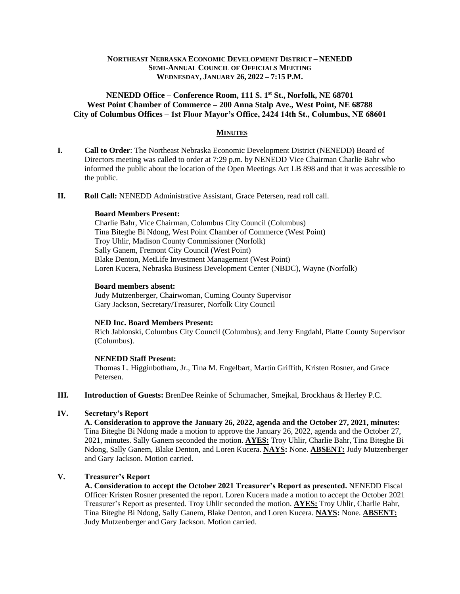## **NORTHEAST NEBRASKA ECONOMIC DEVELOPMENT DISTRICT – NENEDD SEMI-ANNUAL COUNCIL OF OFFICIALS MEETING WEDNESDAY, JANUARY 26, 2022 – 7:15 P.M.**

## **NENEDD Office – Conference Room, 111 S. 1st St., Norfolk, NE 68701 West Point Chamber of Commerce – 200 Anna Stalp Ave., West Point, NE 68788 City of Columbus Offices – 1st Floor Mayor's Office, 2424 14th St., Columbus, NE 68601**

## **MINUTES**

- **I. Call to Order**: The Northeast Nebraska Economic Development District (NENEDD) Board of Directors meeting was called to order at 7:29 p.m. by NENEDD Vice Chairman Charlie Bahr who informed the public about the location of the Open Meetings Act LB 898 and that it was accessible to the public.
- **II. Roll Call:** NENEDD Administrative Assistant, Grace Petersen, read roll call.

#### **Board Members Present:**

Charlie Bahr, Vice Chairman, Columbus City Council (Columbus) Tina Biteghe Bi Ndong, West Point Chamber of Commerce (West Point) Troy Uhlir, Madison County Commissioner (Norfolk) Sally Ganem, Fremont City Council (West Point) Blake Denton, MetLife Investment Management (West Point) Loren Kucera, Nebraska Business Development Center (NBDC), Wayne (Norfolk)

#### **Board members absent:**

Judy Mutzenberger, Chairwoman, Cuming County Supervisor Gary Jackson, Secretary/Treasurer, Norfolk City Council

#### **NED Inc. Board Members Present:**

Rich Jablonski, Columbus City Council (Columbus); and Jerry Engdahl, Platte County Supervisor (Columbus).

### **NENEDD Staff Present:**

Thomas L. Higginbotham, Jr., Tina M. Engelbart, Martin Griffith, Kristen Rosner, and Grace Petersen.

**III. Introduction of Guests:** BrenDee Reinke of Schumacher, Smejkal, Brockhaus & Herley P.C.

# **IV. Secretary's Report**

**A. Consideration to approve the January 26, 2022, agenda and the October 27, 2021, minutes:**  Tina Biteghe Bi Ndong made a motion to approve the January 26, 2022, agenda and the October 27, 2021, minutes. Sally Ganem seconded the motion. **AYES:** Troy Uhlir, Charlie Bahr, Tina Biteghe Bi Ndong, Sally Ganem, Blake Denton, and Loren Kucera. **NAYS:** None. **ABSENT:** Judy Mutzenberger and Gary Jackson. Motion carried.

# **V. Treasurer's Report**

**A. Consideration to accept the October 2021 Treasurer's Report as presented.** NENEDD Fiscal Officer Kristen Rosner presented the report. Loren Kucera made a motion to accept the October 2021 Treasurer's Report as presented. Troy Uhlir seconded the motion. **AYES:** Troy Uhlir, Charlie Bahr, Tina Biteghe Bi Ndong, Sally Ganem, Blake Denton, and Loren Kucera. **NAYS:** None. **ABSENT:** Judy Mutzenberger and Gary Jackson. Motion carried.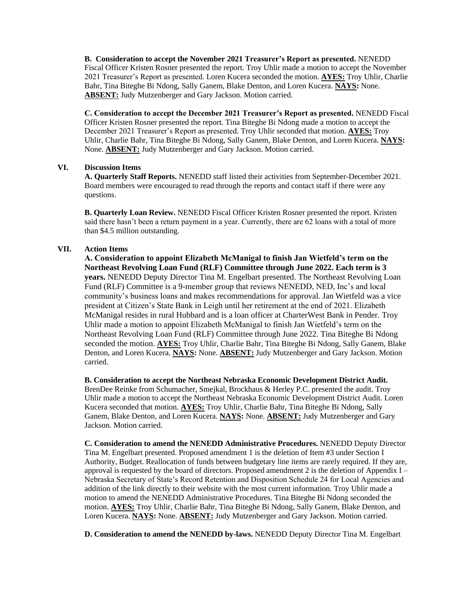**B. Consideration to accept the November 2021 Treasurer's Report as presented.** NENEDD Fiscal Officer Kristen Rosner presented the report. Troy Uhlir made a motion to accept the November 2021 Treasurer's Report as presented. Loren Kucera seconded the motion. **AYES:** Troy Uhlir, Charlie Bahr, Tina Biteghe Bi Ndong, Sally Ganem, Blake Denton, and Loren Kucera. **NAYS:** None. **ABSENT:** Judy Mutzenberger and Gary Jackson. Motion carried.

**C. Consideration to accept the December 2021 Treasurer's Report as presented.** NENEDD Fiscal Officer Kristen Rosner presented the report. Tina Biteghe Bi Ndong made a motion to accept the December 2021 Treasurer's Report as presented. Troy Uhlir seconded that motion. **AYES:** Troy Uhlir, Charlie Bahr, Tina Biteghe Bi Ndong, Sally Ganem, Blake Denton, and Loren Kucera. **NAYS:** None. **ABSENT:** Judy Mutzenberger and Gary Jackson. Motion carried.

#### **VI. Discussion Items**

**A. Quarterly Staff Reports.** NENEDD staff listed their activities from September-December 2021. Board members were encouraged to read through the reports and contact staff if there were any questions.

**B. Quarterly Loan Review.** NENEDD Fiscal Officer Kristen Rosner presented the report. Kristen said there hasn't been a return payment in a year. Currently, there are 62 loans with a total of more than \$4.5 million outstanding.

### **VII. Action Items**

**A. Consideration to appoint Elizabeth McManigal to finish Jan Wietfeld's term on the Northeast Revolving Loan Fund (RLF) Committee through June 2022. Each term is 3 years.** NENEDD Deputy Director Tina M. Engelbart presented. The Northeast Revolving Loan Fund (RLF) Committee is a 9-member group that reviews NENEDD, NED, Inc's and local community's business loans and makes recommendations for approval. Jan Wietfeld was a vice president at Citizen's State Bank in Leigh until her retirement at the end of 2021. Elizabeth McManigal resides in rural Hubbard and is a loan officer at CharterWest Bank in Pender. Troy Uhlir made a motion to appoint Elizabeth McManigal to finish Jan Wietfeld's term on the Northeast Revolving Loan Fund (RLF) Committee through June 2022. Tina Biteghe Bi Ndong seconded the motion. **AYES:** Troy Uhlir, Charlie Bahr, Tina Biteghe Bi Ndong, Sally Ganem, Blake Denton, and Loren Kucera. **NAYS:** None. **ABSENT:** Judy Mutzenberger and Gary Jackson. Motion carried.

**B. Consideration to accept the Northeast Nebraska Economic Development District Audit.**  BrenDee Reinke from Schumacher, Smejkal, Brockhaus & Herley P.C. presented the audit. Troy Uhlir made a motion to accept the Northeast Nebraska Economic Development District Audit. Loren Kucera seconded that motion. **AYES:** Troy Uhlir, Charlie Bahr, Tina Biteghe Bi Ndong, Sally Ganem, Blake Denton, and Loren Kucera. **NAYS:** None. **ABSENT:** Judy Mutzenberger and Gary Jackson. Motion carried.

**C. Consideration to amend the NENEDD Administrative Procedures.** NENEDD Deputy Director Tina M. Engelbart presented. Proposed amendment 1 is the deletion of Item #3 under Section I Authority, Budget. Reallocation of funds between budgetary line items are rarely required. If they are, approval is requested by the board of directors. Proposed amendment 2 is the deletion of Appendix I – Nebraska Secretary of State's Record Retention and Disposition Schedule 24 for Local Agencies and addition of the link directly to their website with the most current information. Troy Uhlir made a motion to amend the NENEDD Administrative Procedures. Tina Biteghe Bi Ndong seconded the motion. **AYES:** Troy Uhlir, Charlie Bahr, Tina Biteghe Bi Ndong, Sally Ganem, Blake Denton, and Loren Kucera. **NAYS:** None. **ABSENT:** Judy Mutzenberger and Gary Jackson. Motion carried.

**D. Consideration to amend the NENEDD by-laws.** NENEDD Deputy Director Tina M. Engelbart